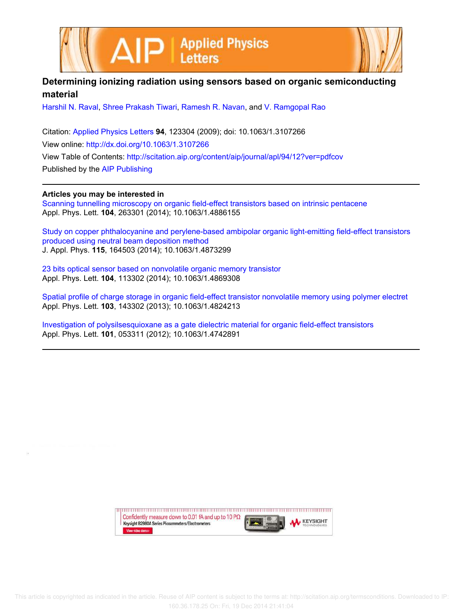



## **Determining ionizing radiation using sensors based on organic semiconducting material**

Harshil N. Raval, Shree Prakash Tiwari, Ramesh R. Navan, and V. Ramgopal Rao

Citation: Applied Physics Letters **94**, 123304 (2009); doi: 10.1063/1.3107266 View online: http://dx.doi.org/10.1063/1.3107266 View Table of Contents: http://scitation.aip.org/content/aip/journal/apl/94/12?ver=pdfcov Published by the AIP Publishing

## **Articles you may be interested in**

Scanning tunnelling microscopy on organic field-effect transistors based on intrinsic pentacene Appl. Phys. Lett. **104**, 263301 (2014); 10.1063/1.4886155

Study on copper phthalocyanine and perylene-based ambipolar organic light-emitting field-effect transistors produced using neutral beam deposition method J. Appl. Phys. **115**, 164503 (2014); 10.1063/1.4873299

23 bits optical sensor based on nonvolatile organic memory transistor Appl. Phys. Lett. **104**, 113302 (2014); 10.1063/1.4869308

Spatial profile of charge storage in organic field-effect transistor nonvolatile memory using polymer electret Appl. Phys. Lett. **103**, 143302 (2013); 10.1063/1.4824213

Investigation of polysilsesquioxane as a gate dielectric material for organic field-effect transistors Appl. Phys. Lett. **101**, 053311 (2012); 10.1063/1.4742891

> Confidently measure down to 0.01 fA and up to 10 P $\Omega$ KEYSIGHT Keysight B2980A Series Picoammeters/Electrometers View video demo>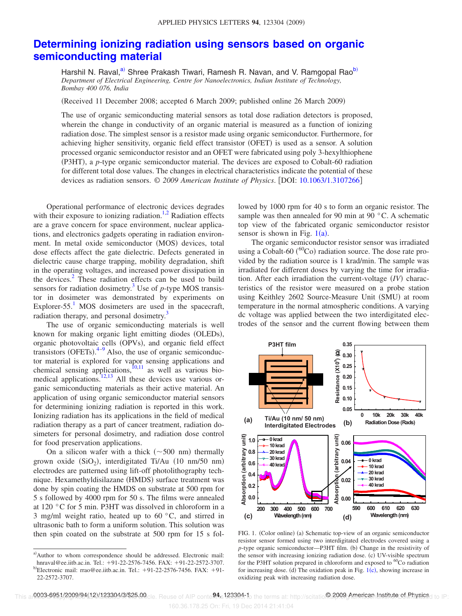## **Determining ionizing radiation using sensors based on organic semiconducting material**

Harshil N. Raval,<sup>a)</sup> Shree Prakash Tiwari, Ramesh R. Navan, and V. Ramgopal Rao<sup>b)</sup> *Department of Electrical Engineering, Centre for Nanoelectronics, Indian Institute of Technology, Bombay 400 076, India*

Received 11 December 2008; accepted 6 March 2009; published online 26 March 2009-

The use of organic semiconducting material sensors as total dose radiation detectors is proposed, wherein the change in conductivity of an organic material is measured as a function of ionizing radiation dose. The simplest sensor is a resistor made using organic semiconductor. Furthermore, for achieving higher sensitivity, organic field effect transistor (OFET) is used as a sensor. A solution processed organic semiconductor resistor and an OFET were fabricated using poly 3-hexylthiophene (P3HT), a *p*-type organic semiconductor material. The devices are exposed to Cobalt-60 radiation for different total dose values. The changes in electrical characteristics indicate the potential of these devices as radiation sensors. © 2009 American Institute of Physics. [DOI: 10.1063/1.3107266]

Operational performance of electronic devices degrades with their exposure to ionizing radiation.<sup>1,2</sup> Radiation effects are a grave concern for space environment, nuclear applications, and electronics gadgets operating in radiation environment. In metal oxide semiconductor (MOS) devices, total dose effects affect the gate dielectric. Defects generated in dielectric cause charge trapping, mobility degradation, shift in the operating voltages, and increased power dissipation in the devices.<sup>2</sup> These radiation effects can be used to build sensors for radiation dosimetry.<sup>3</sup> Use of  $p$ -type MOS transistor in dosimeter was demonstrated by experiments on Explorer-55. $<sup>1</sup>$  MOS dosimeters are used in the spacecraft,</sup> radiation therapy, and personal dosimetry.<sup>3</sup>

The use of organic semiconducting materials is well known for making organic light emitting diodes (OLEDs), organic photovoltaic cells (OPVs), and organic field effect transistors (OFETs). $4-9$  Also, the use of organic semiconductor material is explored for vapor sensing applications and chemical sensing applications, ${}^{[0,11]}$  as well as various biomedical applications.<sup>12,13</sup> All these devices use various organic semiconducting materials as their active material. An application of using organic semiconductor material sensors for determining ionizing radiation is reported in this work. Ionizing radiation has its applications in the field of medical radiation therapy as a part of cancer treatment, radiation dosimeters for personal dosimetry, and radiation dose control for food preservation applications.

On a silicon wafer with a thick  $(\sim 500 \text{ nm})$  thermally grown oxide  $(SiO<sub>2</sub>)$ , interdigitated Ti/Au (10 nm/50 nm) electrodes are patterned using lift-off photolithography technique. Hexamethyldisilazane (HMDS) surface treatment was done by spin coating the HMDS on substrate at 500 rpm for 5 s followed by 4000 rpm for 50 s. The films were annealed at 120 °C for 5 min. P3HT was dissolved in chloroform in a 3 mg/ml weight ratio, heated up to  $60^{\circ}$ C, and stirred in ultrasonic bath to form a uniform solution. This solution was then spin coated on the substrate at 500 rpm for 15 s followed by 1000 rpm for 40 s to form an organic resistor. The sample was then annealed for 90 min at 90 °C. A schematic top view of the fabricated organic semiconductor resistor sensor is shown in Fig.  $1(a)$ .

The organic semiconductor resistor sensor was irradiated using a Cobalt-60 ( ${}^{60}$ Co) radiation source. The dose rate provided by the radiation source is 1 krad/min. The sample was irradiated for different doses by varying the time for irradiation. After each irradiation the current-voltage (IV) characteristics of the resistor were measured on a probe station using Keithley 2602 Source-Measure Unit (SMU) at room temperature in the normal atmospheric conditions. A varying dc voltage was applied between the two interdigitated electrodes of the sensor and the current flowing between them



FIG. 1. (Color online) (a) Schematic top-view of an organic semiconductor resistor sensor formed using two interdigitated electrodes covered using a *p*-type organic semiconductor—P3HT film. (b) Change in the resistivity of the sensor with increasing ionizing radiation dose. (c) UV-visible spectrum for the P3HT solution prepared in chloroform and exposed to  ${}^{60}$ Co radiation for increasing dose. (d) The oxidation peak in Fig.  $1(c)$ , showing increase in oxidizing peak with increasing radiation dose.

160.36.178.25 On: Fri, 19 Dec 2014 21:41:04

a)Author to whom correspondence should be addressed. Electronic mail: hnraval@ee.iitb.ac.in. Tel.: +91-22-2576-7456. FAX: +91-22-2572-3707.

 $b$ Electronic mail: rrao@ee.iitb.ac.in. Tel.: +91-22-2576-7456. FAX: +91-22-2572-3707.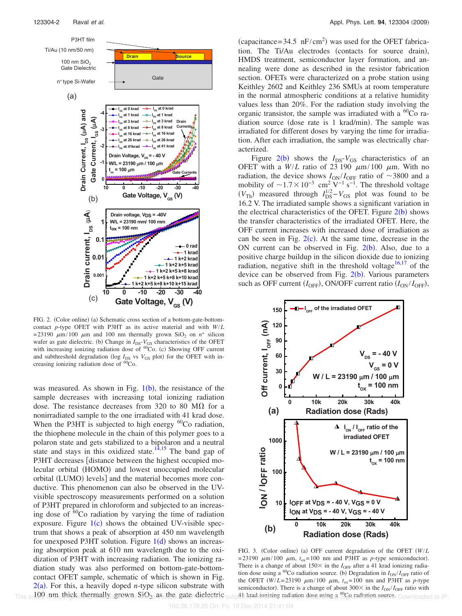

FIG. 2. (Color online) (a) Schematic cross section of a bottom-gate-bottomcontact *p*-type OFET with P3HT as its active material and with *W*/*L* =23190  $\mu$ m/100  $\mu$ m and 100 nm thermally grown SiO<sub>2</sub> on  $n^+$  silicon wafer as gate dielectric. (b) Change in  $I_{DS}$ - $V_{GS}$  characteristics of the OFET with increasing ionizing radiation dose of  ${}^{60}Co$ . (c) Showing OFF current and subthreshold degradation ( $log I_{DS}$  vs  $V_{GS}$  plot) for the OFET with increasing ionizing radiation dose of  ${}^{60}Co$ .

was measured. As shown in Fig.  $1(b)$ , the resistance of the sample decreases with increasing total ionizing radiation dose. The resistance decreases from 320 to 80 M $\Omega$  for a nonirradiated sample to the one irradiated with 41 krad dose. When the P3HT is subjected to high energy  ${}^{60}$ Co radiation, the thiophene molecule in the chain of this polymer goes to a polaron state and gets stabilized to a bipolaron and a neutral state and stays in this oxidized state.<sup>14,15</sup> The band gap of P3HT decreases [distance between the highest occupied molecular orbital (HOMO) and lowest unoccupied molecular orbital (LUMO) levels] and the material becomes more conductive. This phenomenon can also be observed in the UVvisible spectroscopy measurements performed on a solution of P3HT prepared in chloroform and subjected to an increasing dose of  $60^{\circ}$ Co radiation by varying the time of radiation exposure. Figure  $1(c)$  shows the obtained UV-visible spectrum that shows a peak of absorption at 450 nm wavelength for unexposed P3HT solution. Figure  $1(d)$  shows an increasing absorption peak at 610 nm wavelength due to the oxidization of P3HT with increasing radiation. The ionizing radiation study was also performed on bottom-gate-bottomcontact OFET sample, schematic of which is shown in Fig.  $2(a)$ . For this, a heavily doped *n*-type silicon substrate with  $\tau$ his arl 00 inm thick thermally grown. SiO<sub>2</sub> as the gate dielectric

(capacitance= $34.5 \text{ nF/cm}^2$ ) was used for the OFET fabrication. The Ti/Au electrodes (contacts for source drain), HMDS treatment, semiconductor layer formation, and annealing were done as described in the resistor fabrication section. OFETs were characterized on a probe station using Keithley 2602 and Keithley 236 SMUs at room temperature in the normal atmospheric conditions at a relative humidity values less than 20%. For the radiation study involving the organic transistor, the sample was irradiated with a  ${}^{60}Co$  radiation source (dose rate is 1 krad/min). The sample was irradiated for different doses by varying the time for irradiation. After each irradiation, the sample was electrically characterized.

Figure  $2(b)$  shows the  $I_{DS}$ - $V_{GS}$  characteristics of an OFET with a  $W/L$  ratio of 23 190  $\mu$ m/100  $\mu$ m. With no radiation, the device shows  $I_{ON}/I_{OFF}$  ratio of  $\sim$ 3800 and a mobility of  $\sim$ 1.7 $\times$ 10<sup>-3</sup> cm<sup>2</sup> V<sup>-1</sup> s<sup>-1</sup>. The threshold voltage  $(V_{\text{Th}})$  measured through  $I_{\text{DS}}^{1/2} - V_{\text{GS}}$  plot was found to be 16.2 V. The irradiated sample shows a significant variation in the electrical characteristics of the OFET. Figure  $2(b)$  shows the transfer characteristics of the irradiated OFET. Here, the OFF current increases with increased dose of irradiation as can be seen in Fig.  $2(c)$ . At the same time, decrease in the ON current can be observed in Fig.  $2(b)$ . Also, due to a positive charge buildup in the silicon dioxide due to ionizing radiation, negative shift in the threshold voltage<sup>16,17</sup> of the device can be observed from Fig. 2(b). Various parameters such as OFF current  $(I_{\text{OFF}})$ , ON/OFF current ratio  $(I_{\text{ON}}/I_{\text{OFF}})$ ,



FIG. 3. (Color online) (a) OFF current degradation of the OFET  $(W/L)$ =23190  $\mu$ m/100  $\mu$ m,  $t_{ox}$ =100 nm and P3HT as *p*-type semiconductor). There is a change of about  $150\times$  in the *I*<sub>OFF</sub> after a 41 krad ionizing radiation dose using a <sup>60</sup>Co radiation source. (b) Degradation in  $I_{ON}/I_{OFF}$  ratio of the OFET  $(W/L=23190 \mu m/100 \mu m, t_{ox}=100 nm$  and P3HT as *p*-type semiconductor). There is a change of about  $300 \times$  in the  $I_{ON}/I_{OFF}$  ratio with This and 00 jum<sub>p</sub>thick thermally arown. SiO<sub>2</sub> as the gate-dielectric subject krad ionizing radiation dose using a <sup>60</sup>Co cadiation course. Downloaded to IP: